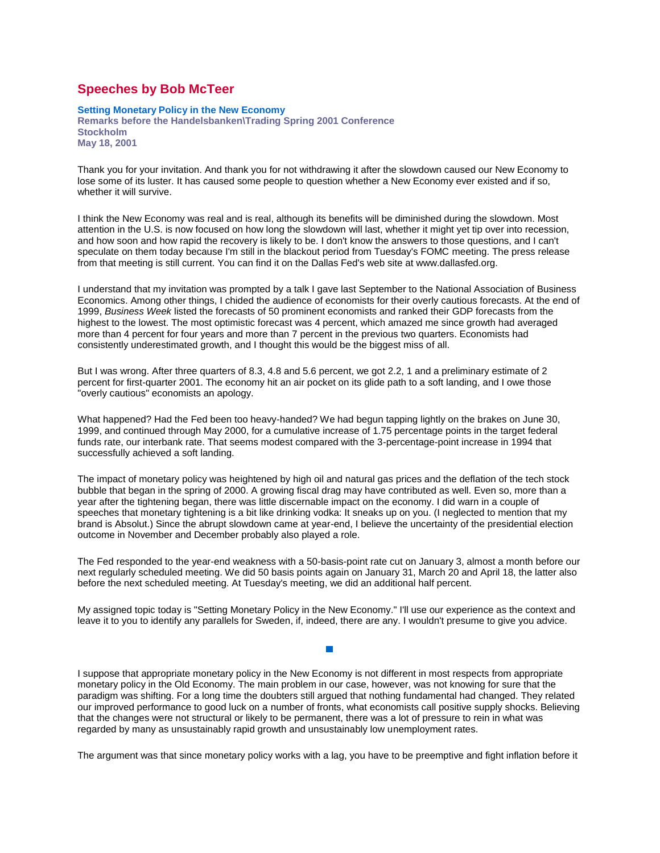## **Speeches by Bob McTeer**

**Setting Monetary Policy in the New Economy Remarks before the Handelsbanken\Trading Spring 2001 Conference Stockholm May 18, 2001** 

Thank you for your invitation. And thank you for not withdrawing it after the slowdown caused our New Economy to lose some of its luster. It has caused some people to question whether a New Economy ever existed and if so, whether it will survive.

I think the New Economy was real and is real, although its benefits will be diminished during the slowdown. Most attention in the U.S. is now focused on how long the slowdown will last, whether it might yet tip over into recession, and how soon and how rapid the recovery is likely to be. I don't know the answers to those questions, and I can't speculate on them today because I'm still in the blackout period from Tuesday's FOMC meeting. The press release from that meeting is still current. You can find it on the Dallas Fed's web site at www.dallasfed.org.

I understand that my invitation was prompted by a talk I gave last September to the National Association of Business Economics. Among other things, I chided the audience of economists for their overly cautious forecasts. At the end of 1999, *Business Week* listed the forecasts of 50 prominent economists and ranked their GDP forecasts from the highest to the lowest. The most optimistic forecast was 4 percent, which amazed me since growth had averaged more than 4 percent for four years and more than 7 percent in the previous two quarters. Economists had consistently underestimated growth, and I thought this would be the biggest miss of all.

But I was wrong. After three quarters of 8.3, 4.8 and 5.6 percent, we got 2.2, 1 and a preliminary estimate of 2 percent for first-quarter 2001. The economy hit an air pocket on its glide path to a soft landing, and I owe those "overly cautious" economists an apology.

What happened? Had the Fed been too heavy-handed? We had begun tapping lightly on the brakes on June 30, 1999, and continued through May 2000, for a cumulative increase of 1.75 percentage points in the target federal funds rate, our interbank rate. That seems modest compared with the 3-percentage-point increase in 1994 that successfully achieved a soft landing.

The impact of monetary policy was heightened by high oil and natural gas prices and the deflation of the tech stock bubble that began in the spring of 2000. A growing fiscal drag may have contributed as well. Even so, more than a year after the tightening began, there was little discernable impact on the economy. I did warn in a couple of speeches that monetary tightening is a bit like drinking vodka: It sneaks up on you. (I neglected to mention that my brand is Absolut.) Since the abrupt slowdown came at year-end, I believe the uncertainty of the presidential election outcome in November and December probably also played a role.

The Fed responded to the year-end weakness with a 50-basis-point rate cut on January 3, almost a month before our next regularly scheduled meeting. We did 50 basis points again on January 31, March 20 and April 18, the latter also before the next scheduled meeting. At Tuesday's meeting, we did an additional half percent.

My assigned topic today is "Setting Monetary Policy in the New Economy." I'll use our experience as the context and leave it to you to identify any parallels for Sweden, if, indeed, there are any. I wouldn't presume to give you advice.

## $\overline{\phantom{a}}$

I suppose that appropriate monetary policy in the New Economy is not different in most respects from appropriate monetary policy in the Old Economy. The main problem in our case, however, was not knowing for sure that the paradigm was shifting. For a long time the doubters still argued that nothing fundamental had changed. They related our improved performance to good luck on a number of fronts, what economists call positive supply shocks. Believing that the changes were not structural or likely to be permanent, there was a lot of pressure to rein in what was regarded by many as unsustainably rapid growth and unsustainably low unemployment rates.

The argument was that since monetary policy works with a lag, you have to be preemptive and fight inflation before it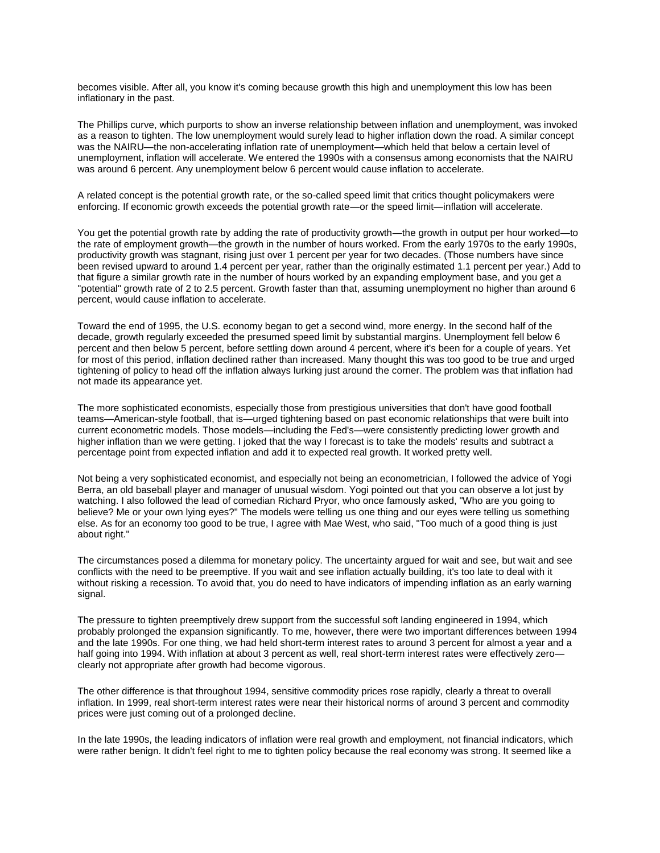becomes visible. After all, you know it's coming because growth this high and unemployment this low has been inflationary in the past.

The Phillips curve, which purports to show an inverse relationship between inflation and unemployment, was invoked as a reason to tighten. The low unemployment would surely lead to higher inflation down the road. A similar concept was the NAIRU—the non-accelerating inflation rate of unemployment—which held that below a certain level of unemployment, inflation will accelerate. We entered the 1990s with a consensus among economists that the NAIRU was around 6 percent. Any unemployment below 6 percent would cause inflation to accelerate.

A related concept is the potential growth rate, or the so-called speed limit that critics thought policymakers were enforcing. If economic growth exceeds the potential growth rate—or the speed limit—inflation will accelerate.

You get the potential growth rate by adding the rate of productivity growth—the growth in output per hour worked—to the rate of employment growth—the growth in the number of hours worked. From the early 1970s to the early 1990s, productivity growth was stagnant, rising just over 1 percent per year for two decades. (Those numbers have since been revised upward to around 1.4 percent per year, rather than the originally estimated 1.1 percent per year.) Add to that figure a similar growth rate in the number of hours worked by an expanding employment base, and you get a "potential" growth rate of 2 to 2.5 percent. Growth faster than that, assuming unemployment no higher than around 6 percent, would cause inflation to accelerate.

Toward the end of 1995, the U.S. economy began to get a second wind, more energy. In the second half of the decade, growth regularly exceeded the presumed speed limit by substantial margins. Unemployment fell below 6 percent and then below 5 percent, before settling down around 4 percent, where it's been for a couple of years. Yet for most of this period, inflation declined rather than increased. Many thought this was too good to be true and urged tightening of policy to head off the inflation always lurking just around the corner. The problem was that inflation had not made its appearance yet.

The more sophisticated economists, especially those from prestigious universities that don't have good football teams—American-style football, that is—urged tightening based on past economic relationships that were built into current econometric models. Those models—including the Fed's—were consistently predicting lower growth and higher inflation than we were getting. I joked that the way I forecast is to take the models' results and subtract a percentage point from expected inflation and add it to expected real growth. It worked pretty well.

Not being a very sophisticated economist, and especially not being an econometrician, I followed the advice of Yogi Berra, an old baseball player and manager of unusual wisdom. Yogi pointed out that you can observe a lot just by watching. I also followed the lead of comedian Richard Pryor, who once famously asked, "Who are you going to believe? Me or your own lying eyes?" The models were telling us one thing and our eyes were telling us something else. As for an economy too good to be true, I agree with Mae West, who said, "Too much of a good thing is just about right."

The circumstances posed a dilemma for monetary policy. The uncertainty argued for wait and see, but wait and see conflicts with the need to be preemptive. If you wait and see inflation actually building, it's too late to deal with it without risking a recession. To avoid that, you do need to have indicators of impending inflation as an early warning signal.

The pressure to tighten preemptively drew support from the successful soft landing engineered in 1994, which probably prolonged the expansion significantly. To me, however, there were two important differences between 1994 and the late 1990s. For one thing, we had held short-term interest rates to around 3 percent for almost a year and a half going into 1994. With inflation at about 3 percent as well, real short-term interest rates were effectively zero clearly not appropriate after growth had become vigorous.

The other difference is that throughout 1994, sensitive commodity prices rose rapidly, clearly a threat to overall inflation. In 1999, real short-term interest rates were near their historical norms of around 3 percent and commodity prices were just coming out of a prolonged decline.

In the late 1990s, the leading indicators of inflation were real growth and employment, not financial indicators, which were rather benign. It didn't feel right to me to tighten policy because the real economy was strong. It seemed like a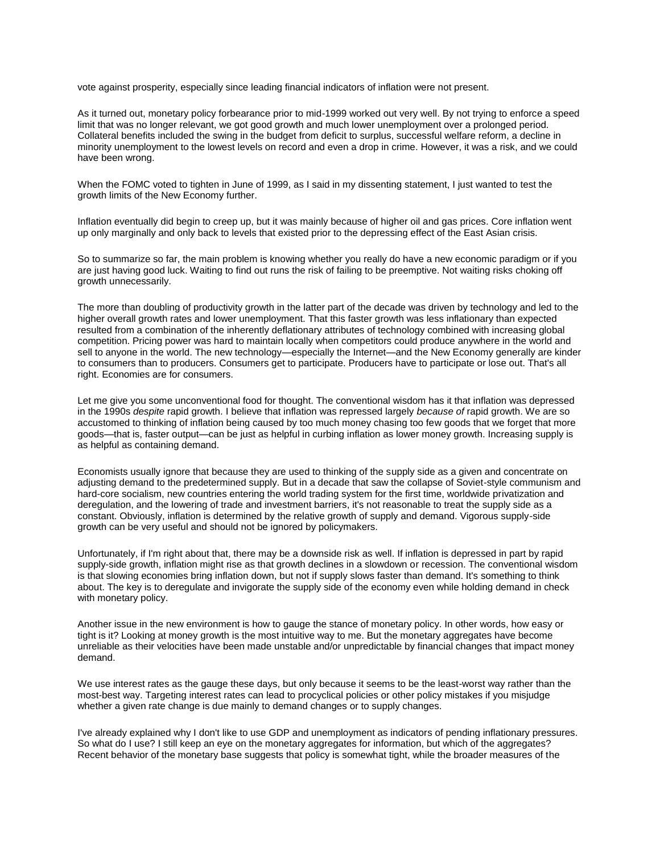vote against prosperity, especially since leading financial indicators of inflation were not present.

As it turned out, monetary policy forbearance prior to mid-1999 worked out very well. By not trying to enforce a speed limit that was no longer relevant, we got good growth and much lower unemployment over a prolonged period. Collateral benefits included the swing in the budget from deficit to surplus, successful welfare reform, a decline in minority unemployment to the lowest levels on record and even a drop in crime. However, it was a risk, and we could have been wrong.

When the FOMC voted to tighten in June of 1999, as I said in my dissenting statement, I just wanted to test the growth limits of the New Economy further.

Inflation eventually did begin to creep up, but it was mainly because of higher oil and gas prices. Core inflation went up only marginally and only back to levels that existed prior to the depressing effect of the East Asian crisis.

So to summarize so far, the main problem is knowing whether you really do have a new economic paradigm or if you are just having good luck. Waiting to find out runs the risk of failing to be preemptive. Not waiting risks choking off growth unnecessarily.

The more than doubling of productivity growth in the latter part of the decade was driven by technology and led to the higher overall growth rates and lower unemployment. That this faster growth was less inflationary than expected resulted from a combination of the inherently deflationary attributes of technology combined with increasing global competition. Pricing power was hard to maintain locally when competitors could produce anywhere in the world and sell to anyone in the world. The new technology—especially the Internet—and the New Economy generally are kinder to consumers than to producers. Consumers get to participate. Producers have to participate or lose out. That's all right. Economies are for consumers.

Let me give you some unconventional food for thought. The conventional wisdom has it that inflation was depressed in the 1990s *despite* rapid growth. I believe that inflation was repressed largely *because of* rapid growth. We are so accustomed to thinking of inflation being caused by too much money chasing too few goods that we forget that more goods—that is, faster output—can be just as helpful in curbing inflation as lower money growth. Increasing supply is as helpful as containing demand.

Economists usually ignore that because they are used to thinking of the supply side as a given and concentrate on adjusting demand to the predetermined supply. But in a decade that saw the collapse of Soviet-style communism and hard-core socialism, new countries entering the world trading system for the first time, worldwide privatization and deregulation, and the lowering of trade and investment barriers, it's not reasonable to treat the supply side as a constant. Obviously, inflation is determined by the relative growth of supply and demand. Vigorous supply-side growth can be very useful and should not be ignored by policymakers.

Unfortunately, if I'm right about that, there may be a downside risk as well. If inflation is depressed in part by rapid supply-side growth, inflation might rise as that growth declines in a slowdown or recession. The conventional wisdom is that slowing economies bring inflation down, but not if supply slows faster than demand. It's something to think about. The key is to deregulate and invigorate the supply side of the economy even while holding demand in check with monetary policy.

Another issue in the new environment is how to gauge the stance of monetary policy. In other words, how easy or tight is it? Looking at money growth is the most intuitive way to me. But the monetary aggregates have become unreliable as their velocities have been made unstable and/or unpredictable by financial changes that impact money demand.

We use interest rates as the gauge these days, but only because it seems to be the least-worst way rather than the most-best way. Targeting interest rates can lead to procyclical policies or other policy mistakes if you misjudge whether a given rate change is due mainly to demand changes or to supply changes.

I've already explained why I don't like to use GDP and unemployment as indicators of pending inflationary pressures. So what do I use? I still keep an eye on the monetary aggregates for information, but which of the aggregates? Recent behavior of the monetary base suggests that policy is somewhat tight, while the broader measures of the